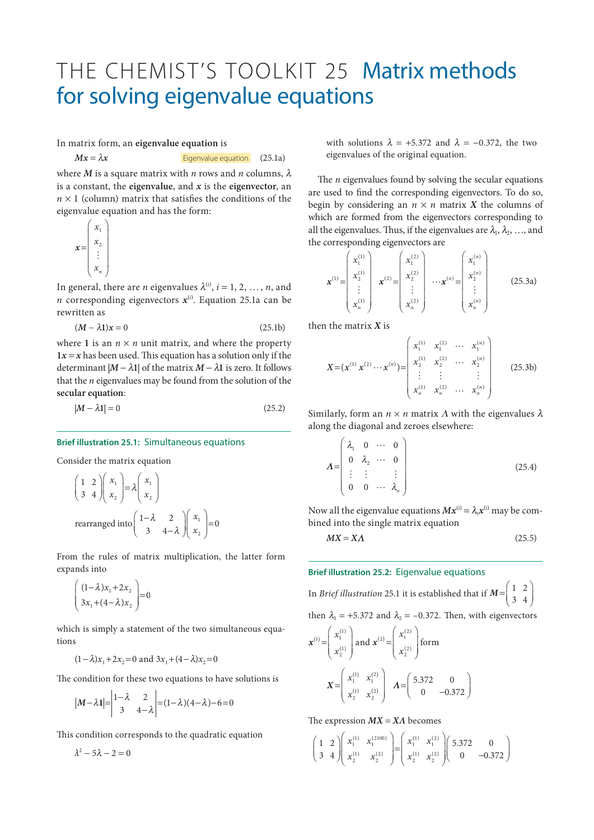## THE CHEMIST'S TOOLKIT 25 Matrix methods for solving eigenvalue equations

In matrix form, an **eigenvalue equation** is

$$
Mx = \lambda x
$$
 *Eigenvalue equation* (25.1a)

where *M* is a square matrix with *n* rows and *n* columns,  $\lambda$ is a constant, the **eigenvalue**, and *x* is the **eigenvector**, an  $n \times 1$  (column) matrix that satisfies the conditions of the eigenvalue equation and has the form:

$$
\boldsymbol{x} = \begin{pmatrix} x_1 \\ x_2 \\ \vdots \\ x_n \end{pmatrix}
$$

In general, there are *n* eigenvalues  $\lambda^{(i)}$ ,  $i = 1, 2, ..., n$ , and *n* corresponding eigenvectors *x*(*i*) . Equation 25.1a can be rewritten as

$$
(M - \lambda 1)x = 0 \tag{25.1b}
$$

where 1 is an  $n \times n$  unit matrix, and where the property  $1x = x$  has been used. This equation has a solution only if the determinant  $|M - \lambda 1|$  of the matrix  $M - \lambda 1$  is zero. It follows that the *n* eigenvalues may be found from the solution of the **secular equation**:

$$
|M - \lambda 1| = 0 \tag{25.2}
$$

## **Brief illustration 25.1:** Simultaneous equations

Consider the matrix equation

$$
\begin{pmatrix} 1 & 2 \ 3 & 4 \end{pmatrix} \begin{pmatrix} x_1 \\ x_2 \end{pmatrix} = \lambda \begin{pmatrix} x_1 \\ x_2 \end{pmatrix}
$$
  
rearranged into 
$$
\begin{pmatrix} 1-\lambda & 2 \\ 3 & 4-\lambda \end{pmatrix} \begin{pmatrix} x_1 \\ x_2 \end{pmatrix} = 0
$$

From the rules of matrix multiplication, the latter form expands into

$$
\begin{pmatrix}\n(1-\lambda)x_1 + 2x_2 \\
3x_1 + (4-\lambda)x_2\n\end{pmatrix} = 0
$$

which is simply a statement of the two simultaneous equations

$$
(1 - \lambda)x_1 + 2x_2 = 0
$$
 and  $3x_1 + (4 - \lambda)x_2 = 0$ 

The condition for these two equations to have solutions is

$$
|\mathbf{M} - \lambda \mathbf{1}| = \begin{vmatrix} 1 - \lambda & 2 \\ 3 & 4 - \lambda \end{vmatrix} = (1 - \lambda)(4 - \lambda) - 6 = 0
$$

This condition corresponds to the quadratic equation

$$
\lambda^2 - 5\lambda - 2 = 0
$$

with solutions  $\lambda = +5.372$  and  $\lambda = -0.372$ , the two eigenvalues of the original equation.

The *n* eigenvalues found by solving the secular equations are used to find the corresponding eigenvectors. To do so, begin by considering an  $n \times n$  matrix X the columns of which are formed from the eigenvectors corresponding to all the eigenvalues. Thus, if the eigenvalues are  $\lambda_1, \lambda_2, \ldots$ , and the corresponding eigenvectors are

$$
\boldsymbol{x}^{(1)} = \begin{pmatrix} x_1^{(1)} \\ x_2^{(1)} \\ \vdots \\ x_n^{(1)} \end{pmatrix} \quad \boldsymbol{x}^{(2)} = \begin{pmatrix} x_1^{(2)} \\ x_2^{(2)} \\ \vdots \\ x_n^{(2)} \end{pmatrix} \quad \cdots \quad \boldsymbol{x}^{(n)} = \begin{pmatrix} x_1^{(n)} \\ x_2^{(n)} \\ \vdots \\ x_n^{(n)} \end{pmatrix} \tag{25.3a}
$$

then the matrix *X* is

$$
X = (x^{(1)} \ x^{(2)} \cdots x^{(n)}) = \begin{pmatrix} x_1^{(1)} & x_1^{(2)} & \cdots & x_1^{(n)} \\ x_2^{(1)} & x_2^{(2)} & \cdots & x_2^{(n)} \\ \vdots & \vdots & & \vdots \\ x_n^{(1)} & x_n^{(2)} & \cdots & x_n^{(n)} \end{pmatrix}
$$
 (25.3b)

Similarly, form an  $n \times n$  matrix  $\Lambda$  with the eigenvalues  $\lambda$ along the diagonal and zeroes elsewhere:

$$
\boldsymbol{\Lambda} = \begin{pmatrix} \lambda_1 & 0 & \cdots & 0 \\ 0 & \lambda_2 & \cdots & 0 \\ \vdots & \vdots & & \vdots \\ 0 & 0 & \cdots & \lambda_n \end{pmatrix} \tag{25.4}
$$

Now all the eigenvalue equations  $Mx^{(i)} = \lambda_i x^{(i)}$  may be combined into the single matrix equation

$$
MX = X\Lambda
$$
 (25.5)

## **Brief illustration 25.2:** Eigenvalue equations

In *Brief illustration* 25.1 it is established that if 
$$
M = \begin{pmatrix} 1 & 2 \ 3 & 4 \end{pmatrix}
$$
  
then  $\lambda_1 = +5.372$  and  $\lambda_2 = -0.372$ . Then, with eigenvectors  

$$
\mathbf{x}^{(1)} = \begin{pmatrix} x_1^{(1)} \\ x_2^{(1)} \end{pmatrix} \text{ and } \mathbf{x}^{(2)} = \begin{pmatrix} x_1^{(2)} \\ x_2^{(2)} \end{pmatrix} \text{ form}
$$

$$
\mathbf{X} = \begin{pmatrix} x_1^{(1)} & x_1^{(2)} \\ x_2^{(1)} & x_2^{(2)} \end{pmatrix} \quad \mathbf{A} = \begin{pmatrix} 5.372 & 0 \\ 0 & -0.372 \end{pmatrix}
$$

The expression *MX* = *XΛ* becomes

$$
\begin{pmatrix} 1 & 2 \ 3 & 4 \end{pmatrix} \begin{pmatrix} x_1^{(1)} & x_1^{(2100)} \ x_2^{(1)} & x_2^{(2)} \end{pmatrix} = \begin{pmatrix} x_1^{(1)} & x_1^{(2)} \ x_2^{(1)} & x_2^{(2)} \end{pmatrix} \begin{pmatrix} 5.372 & 0 \ 0 & -0.372 \end{pmatrix}
$$